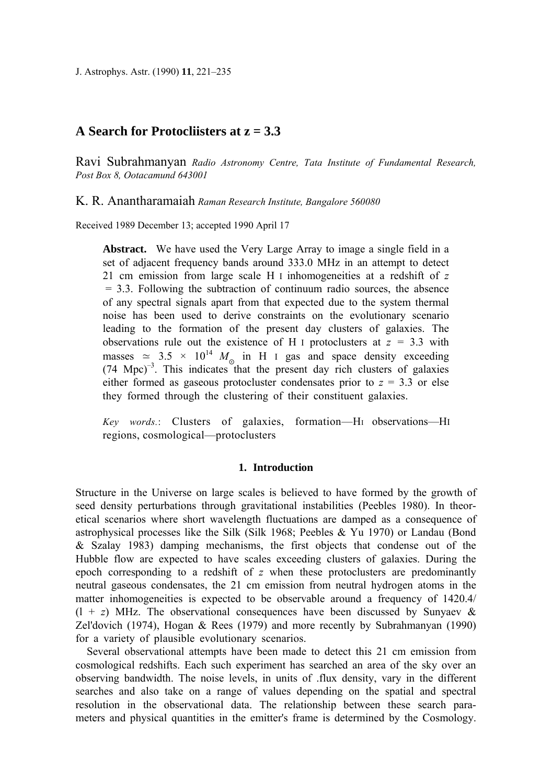J. Astrophys. Astr. (1990) **11**, 221–235

# **A Search for Protocliisters at z = 3.3**

Ravi Subrahmanyan *Radio Astronomy Centre, Tata Institute of Fundamental Research, Post Box 8, Ootacamund 643001* 

Κ. R. Anantharamaiah *Raman Research Institute, Bangalore 560080* 

Received 1989 December 13; accepted 1990 April 17

**Abstract.** We have used the Very Large Array to image a single field in a set of adjacent frequency bands around 333.0 MHz in an attempt to detect 21 cm emission from large scale Η I inhomogeneities at a redshift of *z*  $= 3.3$ . Following the subtraction of continuum radio sources, the absence of any spectral signals apart from that expected due to the system thermal noise has been used to derive constraints on the evolutionary scenario leading to the formation of the present day clusters of galaxies. The observations rule out the existence of Η I protoclusters at *z =* 3.3 with masses  $\simeq$  3.5 × 10<sup>14</sup>  $M_{\odot}$  in H I gas and space density exceeding  $(74 \text{ Mpc})^{-3}$ . This indicates that the present day rich clusters of galaxies either formed as gaseous protocluster condensates prior to  $z = 3.3$  or else they formed through the clustering of their constituent galaxies.

*Key words.*: Clusters of galaxies, formation—Η<sup>I</sup> observations—ΗI regions, cosmological—protoclusters

## **1. Introduction**

Structure in the Universe on large scales is believed to have formed by the growth of seed density perturbations through gravitational instabilities (Peebles 1980). In theoretical scenarios where short wavelength fluctuations are damped as a consequence of astrophysical processes like the Silk (Silk 1968; Peebles & Yu 1970) or Landau (Bond & Szalay 1983) damping mechanisms, the first objects that condense out of the Hubble flow are expected to have scales exceeding clusters of galaxies. During the epoch corresponding to a redshift of *z* when these protoclusters are predominantly neutral gaseous condensates, the 21 cm emission from neutral hydrogen atoms in the matter inhomogeneities is expected to be observable around a frequency of 1420.4/  $(1 + z)$  MHz. The observational consequences have been discussed by Sunyaev & Zel'dovich (1974), Hogan & Rees (1979) and more recently by Subrahmanyan (1990) for a variety of plausible evolutionary scenarios.

Several observational attempts have been made to detect this 21 cm emission from cosmological redshifts. Each such experiment has searched an area of the sky over an observing bandwidth. The noise levels, in units of .flux density, vary in the different searches and also take on a range of values depending on the spatial and spectral resolution in the observational data. The relationship between these search parameters and physical quantities in the emitter's frame is determined by the Cosmology.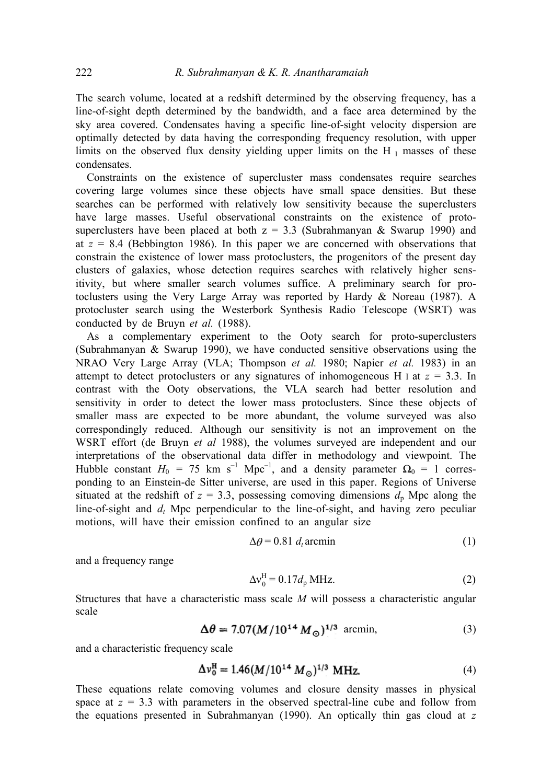The search volume, located at a redshift determined by the observing frequency, has a line-of-sight depth determined by the bandwidth, and a face area determined by the sky area covered. Condensates having a specific line-of-sight velocity dispersion are optimally detected by data having the corresponding frequency resolution, with upper limits on the observed flux density yielding upper limits on the H<sub>I</sub> masses of these condensates.

Constraints on the existence of supercluster mass condensates require searches covering large volumes since these objects have small space densities. But these searches can be performed with relatively low sensitivity because the superclusters have large masses. Useful observational constraints on the existence of protosuperclusters have been placed at both  $z = 3.3$  (Subrahmanyan & Swarup 1990) and at  $z = 8.4$  (Bebbington 1986). In this paper we are concerned with observations that constrain the existence of lower mass protoclusters, the progenitors of the present day clusters of galaxies, whose detection requires searches with relatively higher sensitivity, but where smaller search volumes suffice. A preliminary search for protoclusters using the Very Large Array was reported by Hardy & Noreau (1987). A protocluster search using the Westerbork Synthesis Radio Telescope (WSRT) was conducted by de Bruyn *et al.* (1988).

As a complementary experiment to the Ooty search for proto-superclusters (Subrahmanyan & Swarup 1990), we have conducted sensitive observations using the NRAO Very Large Array (VLA; Thompson *et al.* 1980; Napier *et al.* 1983) in an attempt to detect protoclusters or any signatures of inhomogeneous Η I at *z* = 3.3. In contrast with the Ooty observations, the VLA search had better resolution and sensitivity in order to detect the lower mass protoclusters. Since these objects of smaller mass are expected to be more abundant, the volume surveyed was also correspondingly reduced. Although our sensitivity is not an improvement on the WSRT effort (de Bruyn *et al* 1988), the volumes surveyed are independent and our interpretations of the observational data differ in methodology and viewpoint. The Hubble constant  $H_0 = 75$  km s<sup>-1</sup> Mpc<sup>-1</sup>, and a density parameter  $\Omega_0 = 1$  corresponding to an Einstein-de Sitter universe, are used in this paper. Regions of Universe situated at the redshift of  $z = 3.3$ , possessing comoving dimensions  $d<sub>p</sub>$  Mpc along the line-of-sight and *d<sub>t</sub>* Mpc perpendicular to the line-of-sight, and having zero peculiar motions, will have their emission confined to an angular size

$$
\Delta \theta = 0.81 d_t \text{arcmin} \tag{1}
$$

and a frequency range

$$
\Delta v_0^{\rm H} = 0.17d_{\rm p} \,\text{MHz.} \tag{2}
$$

Structures that have a characteristic mass scale *Μ* will possess a characteristic angular scale

$$
\Delta\theta = 7.07(M/10^{14} M_{\odot})^{1/3} \text{ arcmin}, \qquad (3)
$$

and a characteristic frequency scale

$$
\Delta v_0^{\rm H} = 1.46 (M/10^{14} M_{\odot})^{1/3} \text{ MHz.}
$$
 (4)

These equations relate comoving volumes and closure density masses in physical space at  $z = 3.3$  with parameters in the observed spectral-line cube and follow from the equations presented in Subrahmanyan (1990). An optically thin gas cloud at *z*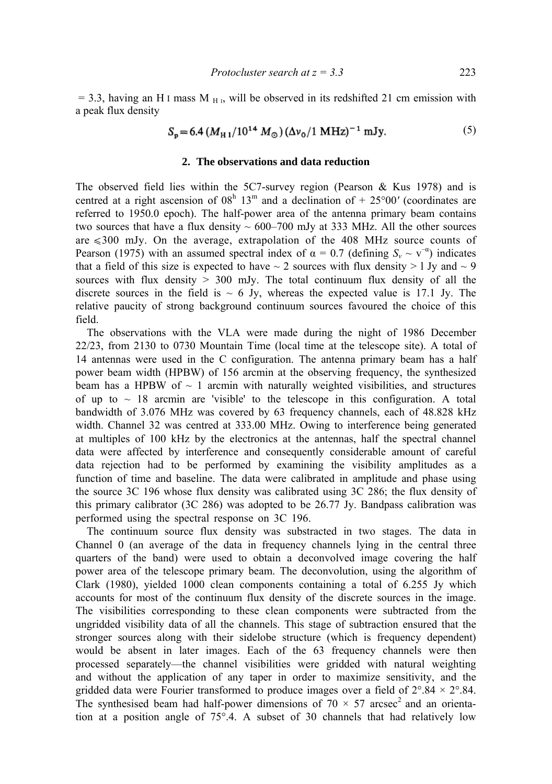$= 3.3$ , having an H I mass M  $_{\rm H}$ , will be observed in its redshifted 21 cm emission with a peak flux density

$$
S_p = 6.4 \left( M_{H1}/10^{14} \, M_{\odot} \right) \left( \Delta v_0 / 1 \, \text{MHz} \right)^{-1} \, \text{mJy}.
$$
 (5)

#### **2. The observations and data reduction**

The observed field lies within the 5C7-survey region (Pearson & Kus 1978) and is centred at a right ascension of  $08<sup>h</sup> 13<sup>m</sup>$  and a declination of  $+ 25<sup>o</sup>00'$  (coordinates are referred to 1950.0 epoch). The half-power area of the antenna primary beam contains two sources that have a flux density  $\sim 600-700$  mJy at 333 MHz. All the other sources are  $\leq 300$  mJy. On the average, extrapolation of the 408 MHz source counts of Pearson (1975) with an assumed spectral index of  $\alpha = 0.7$  (defining  $S_v \sim v^{-\alpha}$ ) indicates that a field of this size is expected to have  $\sim$  2 sources with flux density  $>$  1 Jy and  $\sim$  9 sources with flux density  $> 300$  mJy. The total continuum flux density of all the discrete sources in the field is  $\sim 6$  Jy, whereas the expected value is 17.1 Jy. The relative paucity of strong background continuum sources favoured the choice of this field.

The observations with the VLA were made during the night of 1986 December 22/23, from 2130 to 0730 Mountain Time (local time at the telescope site). A total of 14 antennas were used in the C configuration. The antenna primary beam has a half power beam width (HPBW) of 156 arcmin at the observing frequency, the synthesized beam has a HPBW of  $\sim$  1 arcmin with naturally weighted visibilities, and structures of up to  $\sim$  18 arcmin are 'visible' to the telescope in this configuration. A total bandwidth of 3.076 MHz was covered by 63 frequency channels, each of 48.828 kHz width. Channel 32 was centred at 333.00 MHz. Owing to interference being generated at multiples of 100 kHz by the electronics at the antennas, half the spectral channel data were affected by interference and consequently considerable amount of careful data rejection had to be performed by examining the visibility amplitudes as a function of time and baseline. The data were calibrated in amplitude and phase using the source 3C 196 whose flux density was calibrated using 3C 286; the flux density of this primary calibrator (3C 286) was adopted to be 26.77 Jy. Bandpass calibration was performed using the spectral response on 3C 196.

The continuum source flux density was substracted in two stages. The data in Channel 0 (an average of the data in frequency channels lying in the central three quarters of the band) were used to obtain a deconvolved image covering the half power area of the telescope primary beam. The deconvolution, using the algorithm of Clark (1980), yielded 1000 clean components containing a total of 6.255 Jy which accounts for most of the continuum flux density of the discrete sources in the image. The visibilities corresponding to these clean components were subtracted from the ungridded visibility data of all the channels. This stage of subtraction ensured that the stronger sources along with their sidelobe structure (which is frequency dependent) would be absent in later images. Each of the 63 frequency channels were then processed separately—the channel visibilities were gridded with natural weighting and without the application of any taper in order to maximize sensitivity, and the gridded data were Fourier transformed to produce images over a field of  $2^{\circ}.84 \times 2^{\circ}.84$ . The synthesised beam had half-power dimensions of  $70 \times 57$  arcsec<sup>2</sup> and an orientation at a position angle of 75°.4. A subset of 30 channels that had relatively low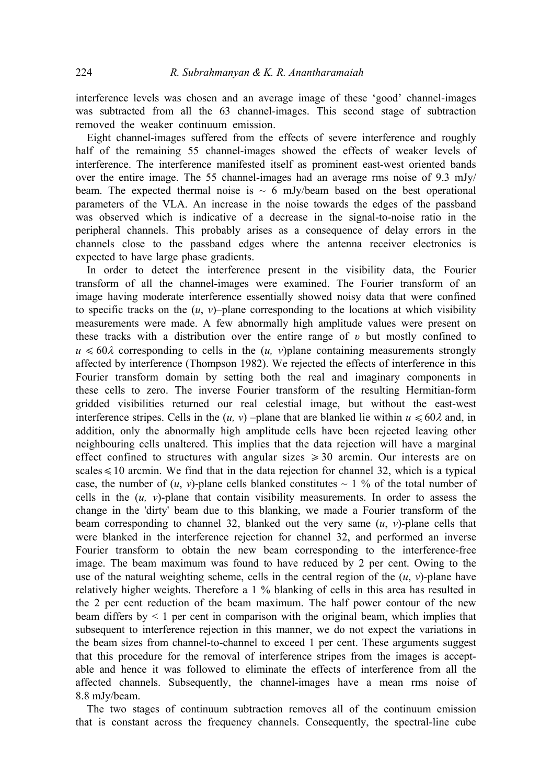interference levels was chosen and an average image of these 'good' channel-images was subtracted from all the 63 channel-images. This second stage of subtraction removed the weaker continuum emission.

Eight channel-images suffered from the effects of severe interference and roughly half of the remaining 55 channel-images showed the effects of weaker levels of interference. The interference manifested itself as prominent east-west oriented bands over the entire image. The 55 channel-images had an average rms noise of 9.3 mJy/ beam. The expected thermal noise is  $\sim 6$  mJy/beam based on the best operational parameters of the VLA. An increase in the noise towards the edges of the passband was observed which is indicative of a decrease in the signal-to-noise ratio in the peripheral channels. This probably arises as a consequence of delay errors in the channels close to the passband edges where the antenna receiver electronics is expected to have large phase gradients.

In order to detect the interference present in the visibility data, the Fourier transform of all the channel-images were examined. The Fourier transform of an image having moderate interference essentially showed noisy data that were confined to specific tracks on the  $(u, v)$ –plane corresponding to the locations at which visibility measurements were made. A few abnormally high amplitude values were present on these tracks with a distribution over the entire range of *υ* but mostly confined to  $u \leq 60\lambda$  corresponding to cells in the  $(u, v)$  plane containing measurements strongly affected by interference (Thompson 1982). We rejected the effects of interference in this Fourier transform domain by setting both the real and imaginary components in these cells to zero. The inverse Fourier transform of the resulting Hermitian-form gridded visibilities returned our real celestial image, but without the east-west interference stripes. Cells in the  $(u, v)$  –plane that are blanked lie within  $u \le 60\lambda$  and, in addition, only the abnormally high amplitude cells have been rejected leaving other neighbouring cells unaltered. This implies that the data rejection will have a marginal effect confined to structures with angular sizes  $\geq 30$  arcmin. Our interests are on scales  $\leq 10$  arcmin. We find that in the data rejection for channel 32, which is a typical case, the number of  $(u, v)$ -plane cells blanked constitutes  $\sim 1$  % of the total number of cells in the  $(u, v)$ -plane that contain visibility measurements. In order to assess the change in the 'dirty' beam due to this blanking, we made a Fourier transform of the beam corresponding to channel 32, blanked out the very same  $(u, v)$ -plane cells that were blanked in the interference rejection for channel 32, and performed an inverse Fourier transform to obtain the new beam corresponding to the interference-free image. The beam maximum was found to have reduced by 2 per cent. Owing to the use of the natural weighting scheme, cells in the central region of the  $(u, v)$ -plane have relatively higher weights. Therefore a 1 % blanking of cells in this area has resulted in the 2 per cent reduction of the beam maximum. The half power contour of the new beam differs by < 1 per cent in comparison with the original beam, which implies that subsequent to interference rejection in this manner, we do not expect the variations in the beam sizes from channel-to-channel to exceed 1 per cent. These arguments suggest that this procedure for the removal of interference stripes from the images is acceptable and hence it was followed to eliminate the effects of interference from all the affected channels. Subsequently, the channel-images have a mean rms noise of 8.8 mJy/beam.

The two stages of continuum subtraction removes all of the continuum emission that is constant across the frequency channels. Consequently, the spectral-line cube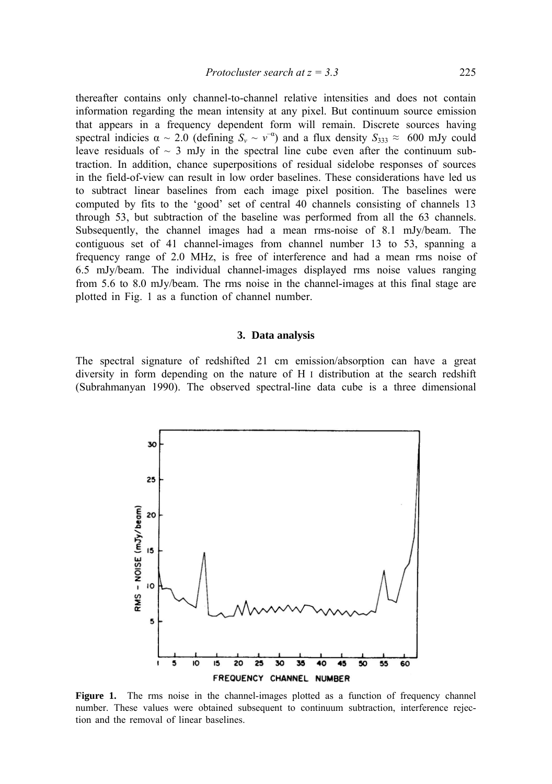thereafter contains only channel-to-channel relative intensities and does not contain information regarding the mean intensity at any pixel. But continuum source emission that appears in a frequency dependent form will remain. Discrete sources having spectral indicies  $\alpha \sim 2.0$  (defining  $S_v \sim v^{-\alpha}$ ) and a flux density  $S_{333} \approx 600$  mJy could leave residuals of  $\sim$  3 mJy in the spectral line cube even after the continuum subtraction. In addition, chance superpositions of residual sidelobe responses of sources in the field-of-view can result in low order baselines. These considerations have led us to subtract linear baselines from each image pixel position. The baselines were computed by fits to the 'good' set of central 40 channels consisting of channels 13 through 53, but subtraction of the baseline was performed from all the 63 channels. Subsequently, the channel images had a mean rms-noise of 8.1 mJy/beam. The contiguous set of 41 channel-images from channel number 13 to 53, spanning a frequency range of 2.0 MHz, is free of interference and had a mean rms noise of 6.5 mJy/beam. The individual channel-images displayed rms noise values ranging from 5.6 to 8.0 mJy/beam. The rms noise in the channel-images at this final stage are plotted in Fig. 1 as a function of channel number.

## **3. Data analysis**

The spectral signature of redshifted 21 cm emission/absorption can have a great diversity in form depending on the nature of Η I distribution at the search redshift (Subrahmanyan 1990). The observed spectral-line data cube is a three dimensional



Figure 1. The rms noise in the channel-images plotted as a function of frequency channel number. These values were obtained subsequent to continuum subtraction, interference rejection and the removal of linear baselines.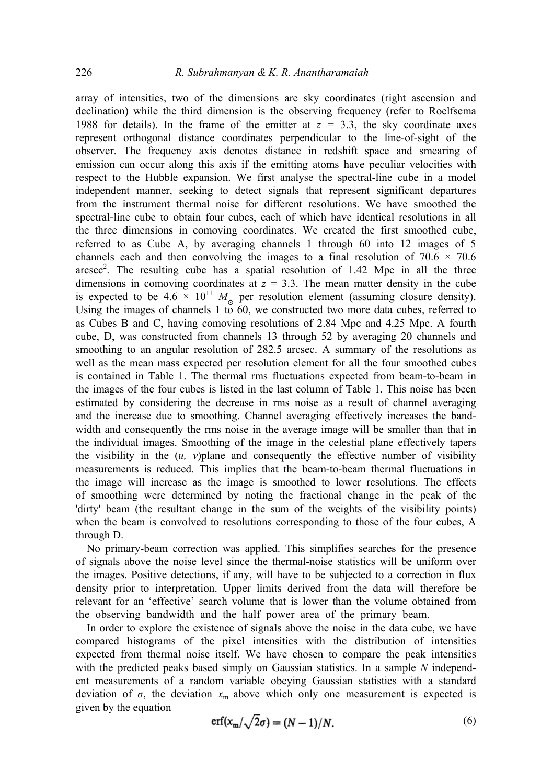array of intensities, two of the dimensions are sky coordinates (right ascension and declination) while the third dimension is the observing frequency (refer to Roelfsema 1988 for details). In the frame of the emitter at *z =* 3.3, the sky coordinate axes represent orthogonal distance coordinates perpendicular to the line-of-sight of the observer. The frequency axis denotes distance in redshift space and smearing of emission can occur along this axis if the emitting atoms have peculiar velocities with respect to the Hubble expansion. We first analyse the spectral-line cube in a model independent manner, seeking to detect signals that represent significant departures from the instrument thermal noise for different resolutions. We have smoothed the spectral-line cube to obtain four cubes, each of which have identical resolutions in all the three dimensions in comoving coordinates. We created the first smoothed cube, referred to as Cube A, by averaging channels 1 through 60 into 12 images of 5 channels each and then convolving the images to a final resolution of  $70.6 \times 70.6$ arcsec<sup>2</sup>. The resulting cube has a spatial resolution of  $1.42$  Mpc in all the three dimensions in comoving coordinates at  $z = 3.3$ . The mean matter density in the cube is expected to be  $4.6 \times 10^{11} M_{\odot}$  per resolution element (assuming closure density). Using the images of channels  $1 \times 60$ , we constructed two more data cubes, referred to as Cubes Β and C, having comoving resolutions of 2.84 Mpc and 4.25 Mpc. A fourth cube, D, was constructed from channels 13 through 52 by averaging 20 channels and smoothing to an angular resolution of 282.5 arcsec. A summary of the resolutions as well as the mean mass expected per resolution element for all the four smoothed cubes is contained in Table 1. The thermal rms fluctuations expected from beam-to-beam in the images of the four cubes is listed in the last column of Table 1. This noise has been estimated by considering the decrease in rms noise as a result of channel averaging and the increase due to smoothing. Channel averaging effectively increases the bandwidth and consequently the rms noise in the average image will be smaller than that in the individual images. Smoothing of the image in the celestial plane effectively tapers the visibility in the  $(u, v)$  plane and consequently the effective number of visibility measurements is reduced. This implies that the beam-to-beam thermal fluctuations in the image will increase as the image is smoothed to lower resolutions. The effects of smoothing were determined by noting the fractional change in the peak of the 'dirty' beam (the resultant change in the sum of the weights of the visibility points) when the beam is convolved to resolutions corresponding to those of the four cubes, A through D.

No primary-beam correction was applied. This simplifies searches for the presence of signals above the noise level since the thermal-noise statistics will be uniform over the images. Positive detections, if any, will have to be subjected to a correction in flux density prior to interpretation. Upper limits derived from the data will therefore be relevant for an 'effective' search volume that is lower than the volume obtained from the observing bandwidth and the half power area of the primary beam.

In order to explore the existence of signals above the noise in the data cube, we have compared histograms of the pixel intensities with the distribution of intensities expected from thermal noise itself. We have chosen to compare the peak intensities with the predicted peaks based simply on Gaussian statistics. In a sample *N* independent measurements of a random variable obeying Gaussian statistics with a standard deviation of  $\sigma$ , the deviation  $x_m$  above which only one measurement is expected is given by the equation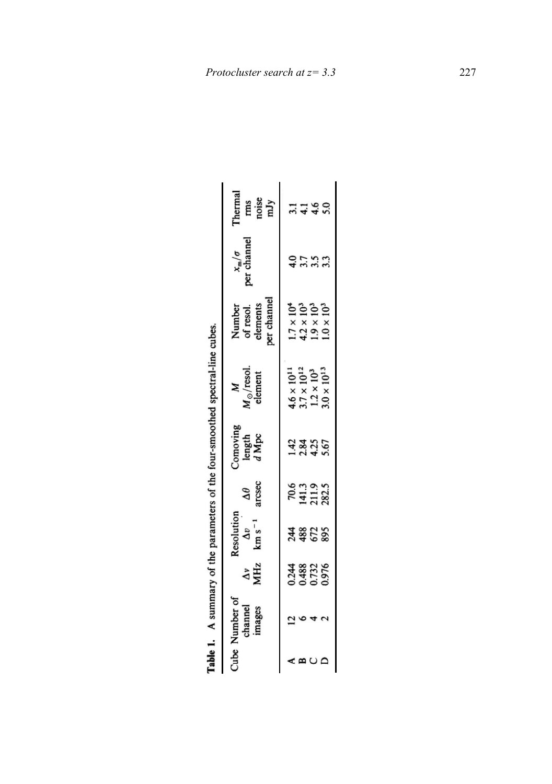|                                     |                                  |                                                 |                                 |                                    | Table 1. A summary of the parameters of the four-smoothed spectral-line cubes.             |                                                                                          |                                                       |                                |
|-------------------------------------|----------------------------------|-------------------------------------------------|---------------------------------|------------------------------------|--------------------------------------------------------------------------------------------|------------------------------------------------------------------------------------------|-------------------------------------------------------|--------------------------------|
| Cube Number of<br>channel<br>images | $\frac{\Delta v}{\Delta Hz}$     | Resolution<br>$\frac{\Delta v}{\rm km\,s^{-1}}$ | arcsec<br>$\mathbf{\mathsf{Q}}$ | Comoving<br>length<br><i>d</i> Mpc | $M_{\odot}/$ resol.<br>element                                                             | per channel<br>Number<br>of resol.<br>elements                                           | $x_m/\sigma$<br>per channel                           | Thermal<br>rms<br>noise<br>mJy |
|                                     | 0.244<br>0.488<br>0.732<br>0.976 | <b>A\$258</b>                                   | 70.6<br>141.3<br>211.9<br>282.5 | $\frac{43}{28}$<br>23355           | $4.6 \times 10^{11}$<br>$3.7 \times 10^{12}$<br>$1.2 \times 10^{3}$<br>$3.0 \times 10^{3}$ | $1.7 \times 10^{4}$<br>$4.2 \times 10^{3}$<br>$1.9 \times 10^{3}$<br>$1.0 \times 10^{3}$ | $\frac{4}{3}$ .<br>$\frac{7}{3}$ .<br>$\frac{3}{3}$ . |                                |
|                                     |                                  |                                                 |                                 |                                    |                                                                                            |                                                                                          |                                                       |                                |
|                                     |                                  |                                                 |                                 |                                    |                                                                                            |                                                                                          |                                                       | 7.60                           |
|                                     |                                  |                                                 |                                 |                                    |                                                                                            |                                                                                          |                                                       |                                |
|                                     |                                  |                                                 |                                 |                                    |                                                                                            |                                                                                          |                                                       |                                |

| í |
|---|
|   |
|   |
|   |
|   |
|   |
|   |
|   |
|   |
|   |
|   |
|   |
|   |
|   |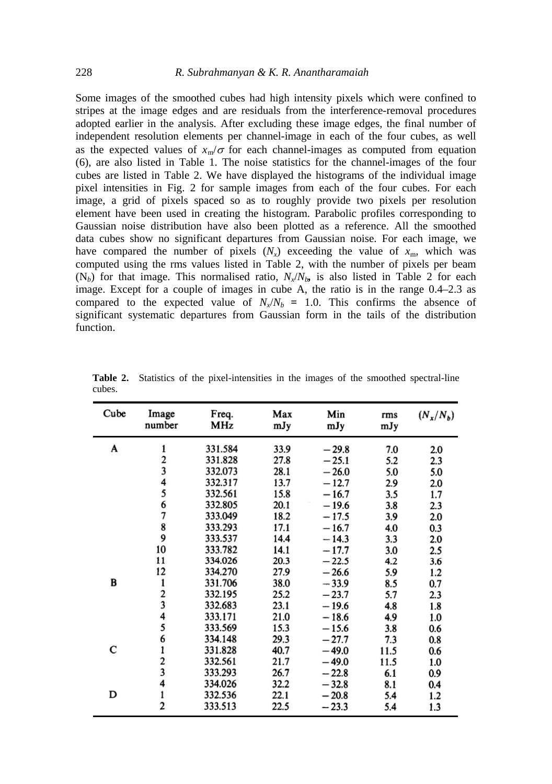Some images of the smoothed cubes had high intensity pixels which were confined to stripes at the image edges and are residuals from the interference-removal procedures adopted earlier in the analysis. After excluding these image edges, the final number of independent resolution elements per channel-image in each of the four cubes, as well as the expected values of  $x_m/\sigma$  for each channel-images as computed from equation (6), are also listed in Table 1. The noise statistics for the channel-images of the four cubes are listed in Table 2. We have displayed the histograms of the individual image pixel intensities in Fig. 2 for sample images from each of the four cubes. For each image, a grid of pixels spaced so as to roughly provide two pixels per resolution element have been used in creating the histogram. Parabolic profiles corresponding to Gaussian noise distribution have also been plotted as a reference. All the smoothed data cubes show no significant departures from Gaussian noise. For each image, we have compared the number of pixels  $(N_x)$  exceeding the value of  $x_m$ , which was computed using the rms values listed in Table 2, with the number of pixels per beam  $(N_b)$  for that image. This normalised ratio,  $N_x/N_b$  is also listed in Table 2 for each image. Except for a couple of images in cube A, the ratio is in the range 0.4–2.3 as compared to the expected value of  $N_x/N_b = 1.0$ . This confirms the absence of significant systematic departures from Gaussian form in the tails of the distribution function.

| Cube | Image<br>number         | Freq.<br>MHz | Max<br>mJy | Min<br>mJy | rms<br>mJy | $(N_x/N_b)$ |
|------|-------------------------|--------------|------------|------------|------------|-------------|
| A    | 1                       | 331.584      | 33.9       | $-29.8$    | 7.0        | 2.0         |
|      |                         | 331.828      | 27.8       | $-25.1$    | 5.2        | 2.3         |
|      | $\frac{2}{3}$           | 332.073      | 28.1       | $-26.0$    | 5.0        | 5.0         |
|      |                         | 332.317      | 13.7       | $-12.7$    | 2.9        | 2.0         |
|      | $\frac{4}{5}$           | 332.561      | 15.8       | $-16.7$    | 3.5        | 1.7         |
|      | 6                       | 332.805      | 20.1       | $-19.6$    | 3.8        | 2.3         |
|      | 7                       | 333.049      | 18.2       | $-17.5$    | 3.9        | 2.0         |
|      | $\frac{8}{9}$           | 333.293      | 17.1       | $-16.7$    | 4.0        | 0.3         |
|      |                         | 333.537      | 14.4       | $-14.3$    | 3.3        | 2.0         |
|      | 10                      | 333.782      | 14.1       | $-17.7$    | 3.0        | 2.5         |
|      | 11                      | 334.026      | 20.3       | $-22.5$    | 4.2        | 3.6         |
|      | 12                      | 334.270      | 27.9       | $-26.6$    | 5.9        | 1.2         |
| B    | 1                       | 331.706      | 38.0       | $-33.9$    | 8.5        | 0.7         |
|      | $\frac{2}{3}$           | 332.195      | 25.2       | $-23.7$    | 5.7        | 2.3         |
|      |                         | 332.683      | 23.1       | $-19.6$    | 4.8        | 1.8         |
|      | $\frac{4}{5}$           | 333.171      | 21.0       | $-18.6$    | 4.9        | 1.0         |
|      |                         | 333.569      | 15.3       | $-15.6$    | 3.8        | 0.6         |
|      | 6                       | 334.148      | 29.3       | $-27.7$    | 7.3        | 0.8         |
| С    | 1                       | 331.828      | 40.7       | $-49.0$    | 11.5       | 0.6         |
|      | $\frac{2}{3}$           | 332.561      | 21.7       | $-49.0$    | 11.5       | 1.0         |
|      |                         | 333.293      | 26.7       | $-22.8$    | 6.1        | 0.9         |
|      | 4                       | 334.026      | 32.2       | $-32.8$    | 8.1        | 0.4         |
| D    | $\mathbf{1}$            | 332.536      | 22.1       | $-20.8$    | 5.4        | 1.2         |
|      | $\overline{\mathbf{c}}$ | 333.513      | 22.5       | $-23.3$    | 5.4        | 1.3         |

**Table 2.** Statistics of the pixel-intensities in the images of the smoothed spectral-line cubes.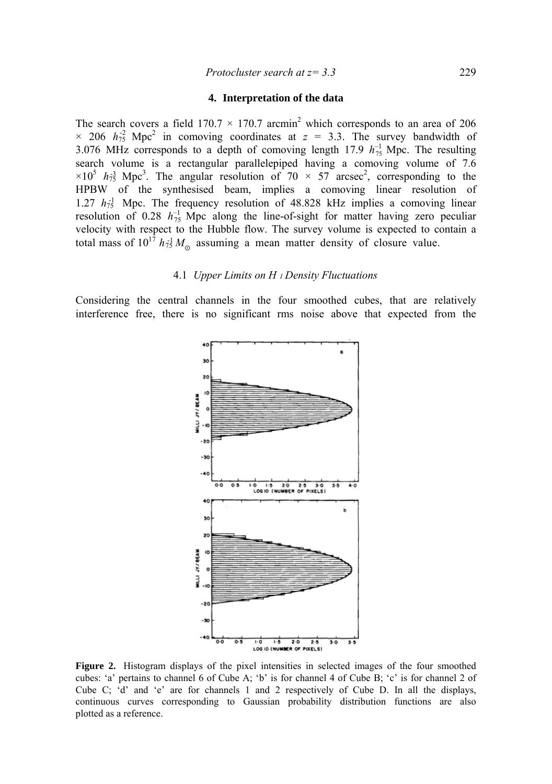## **4. Interpretation of the data**

The search covers a field  $170.7 \times 170.7$  arcmin<sup>2</sup> which corresponds to an area of 206  $\times$  206  $h_{75}^2$  Mpc<sup>2</sup> in comoving coordinates at  $z = 3.3$ . The survey bandwidth of 3.076 MHz corresponds to a depth of comoving length 17.9  $h_{75}^{-1}$  Mpc. The resulting search volume is a rectangular parallelepiped having a comoving volume of 7.6  $\times 10^5$   $h_{73}$  Mpc<sup>3</sup>. The angular resolution of 70  $\times$  57 arcsec<sup>2</sup>, corresponding to the HPBW of the synthesised beam, implies a comoving linear resolution of 1.27  $h_{75}$ <sup>1</sup> Mpc. The frequency resolution of 48.828 kHz implies a comoving linear resolution of 0.28  $h_{75}^{-1}$  Mpc along the line-of-sight for matter having zero peculiar velocity with respect to the Hubble flow. The survey volume is expected to contain a total mass of  $10^{17} h_{75}^{-1} M_{\odot}$  assuming a mean matter density of closure value.

#### 4.1 *Upper Limits on H <sup>I</sup> Density Fluctuations*

Considering the central channels in the four smoothed cubes, that are relatively interference free, there is no significant rms noise above that expected from the



**Figure 2.** Histogram displays of the pixel intensities in selected images of the four smoothed cubes: 'a' pertains to channel 6 of Cube A; 'b' is for channel 4 of Cube B; 'c' is for channel 2 of Cube C; 'd' and 'e' are for channels 1 and 2 respectively of Cube D. In all the displays, continuous curves corresponding to Gaussian probability distribution functions are also plotted as a reference.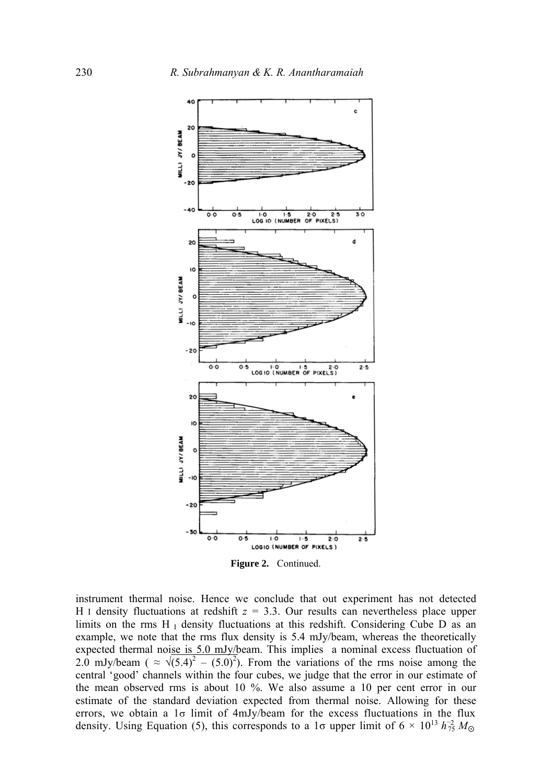

**Figure 2.** Continued.

instrument thermal noise. Hence we conclude that out experiment has not detected Η I density fluctuations at redshift *z* = 3.3. Our results can nevertheless place upper limits on the rms  $H<sub>I</sub>$  density fluctuations at this redshift. Considering Cube D as an example, we note that the rms flux density is 5.4 mJy/beam, whereas the theoretically expected thermal noise is 5.0 mJy/beam. This implies a nominal excess fluctuation of 2.0 mJy/beam ( $\approx \sqrt{(5.4)^2 - (5.0)^2}$ ). From the variations of the rms noise among the central 'good' channels within the four cubes, we judge that the error in our estimate of the mean observed rms is about 10 %. We also assume a 10 per cent error in our estimate of the standard deviation expected from thermal noise. Allowing for these errors, we obtain a  $1\sigma$  limit of 4mJy/beam for the excess fluctuations in the flux density. Using Equation (5), this corresponds to a 1 $\sigma$  upper limit of 6  $\times$  10<sup>13</sup>  $h_{75}^{-2} M_{\odot}$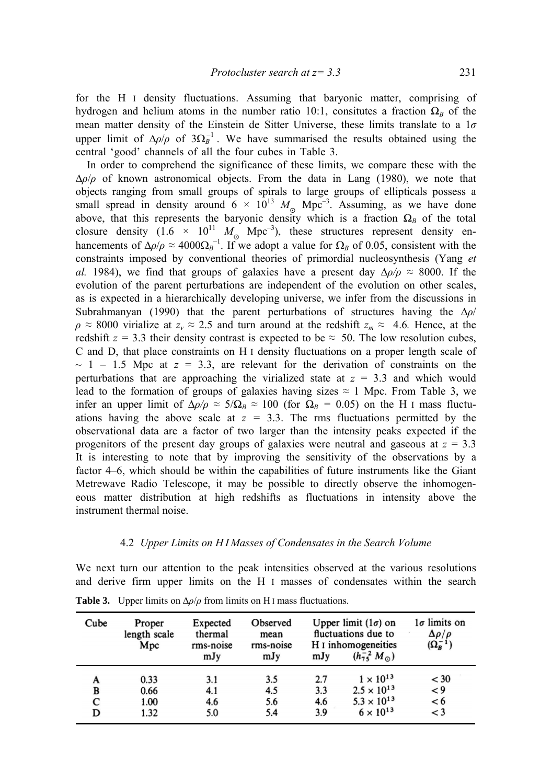for the H I density fluctuations. Assuming that baryonic matter, comprising of hydrogen and helium atoms in the number ratio 10:1, consitutes a fraction  $\Omega_B$  of the mean matter density of the Einstein de Sitter Universe, these limits translate to a 1*σ* upper limit of  $\Delta \rho / \rho$  of  $3\Omega_B^{-1}$ . We have summarised the results obtained using the central 'good' channels of all the four cubes in Table 3.

In order to comprehend the significance of these limits, we compare these with the ∆*ρ*/*ρ* of known astronomical objects. From the data in Lang (1980), we note that objects ranging from small groups of spirals to large groups of ellipticals possess a small spread in density around  $6 \times 10^{13} M_{\odot}$  Mpc<sup>-3</sup>. Assuming, as we have done above, that this represents the baryonic density which is a fraction  $\Omega_B$  of the total closure density  $(1.6 \times 10^{11} M_{\odot} \text{ Mpc}^{-3})$ , these structures represent density enhancements of  $\Delta \rho / \rho \approx 4000 \Omega_B^{-1}$ . If we adopt a value for  $\Omega_B$  of 0.05, consistent with the constraints imposed by conventional theories of primordial nucleosynthesis (Yang *et al.* 1984), we find that groups of galaxies have a present day  $\Delta \rho / \rho \approx 8000$ . If the evolution of the parent perturbations are independent of the evolution on other scales, as is expected in a hierarchically developing universe, we infer from the discussions in Subrahmanyan (1990) that the parent perturbations of structures having the ∆*ρ*/  $\rho \approx 8000$  virialize at  $z_v \approx 2.5$  and turn around at the redshift  $z_m \approx 4.6$ . Hence, at the redshift  $z = 3.3$  their density contrast is expected to be  $\approx 50$ . The low resolution cubes, C and D, that place constraints on Η I density fluctuations on a proper length scale of  $\sim$  1 – 1.5 Mpc at  $z = 3.3$ , are relevant for the derivation of constraints on the perturbations that are approaching the virialized state at  $z = 3.3$  and which would lead to the formation of groups of galaxies having sizes  $\approx 1$  Mpc. From Table 3, we infer an upper limit of  $\Delta \rho / \rho \approx 5/\Omega_B \approx 100$  (for  $\Omega_B = 0.05$ ) on the H I mass fluctuations having the above scale at  $z = 3.3$ . The rms fluctuations permitted by the observational data are a factor of two larger than the intensity peaks expected if the progenitors of the present day groups of galaxies were neutral and gaseous at  $z = 3.3$ It is interesting to note that by improving the sensitivity of the observations by a factor 4–6, which should be within the capabilities of future instruments like the Giant Metrewave Radio Telescope, it may be possible to directly observe the inhomogeneous matter distribution at high redshifts as fluctuations in intensity above the instrument thermal noise.

# 4.2 *Upper Limits on Η I Masses of Condensates in the Search Volume*

We next turn our attention to the peak intensities observed at the various resolutions and derive firm upper limits on the Η I masses of condensates within the search

| Cube | Proper<br>length scale<br>Mpc | Expected<br>thermal<br>rms-noise | Observed<br>mean<br>rms-noise | Upper limit $(1\sigma)$ on<br>fluctuations due to<br>H <sub>I</sub> inhomogeneities |                           | $1\sigma$ limits on<br>$\Delta \rho / \rho$<br>$(\Omega_B^{-1})$ |
|------|-------------------------------|----------------------------------|-------------------------------|-------------------------------------------------------------------------------------|---------------------------|------------------------------------------------------------------|
|      |                               | mJy                              | mJy                           | mJy                                                                                 | $(h_{75}^{-2} M_{\odot})$ |                                                                  |
| A    | 0.33                          | 3.1                              | 3.5                           | 2.7                                                                                 | $1 \times 10^{13}$        | $<$ 30                                                           |
| В    | 0.66                          | 4.1                              | 4.5                           | 3.3                                                                                 | $2.5 \times 10^{13}$      | $\lt$ 9                                                          |
| C    | 1.00                          | 4.6                              | 5.6                           | 4.6                                                                                 | $5.3 \times 10^{13}$      | < 6                                                              |
| D    | 1.32                          | 5.0                              | 5.4                           | 3.9                                                                                 | $6 \times 10^{13}$        | $\lt$ 3                                                          |

**Table 3.** Upper limits on  $\Delta \rho / \rho$  from limits on H<sub>I</sub> mass fluctuations.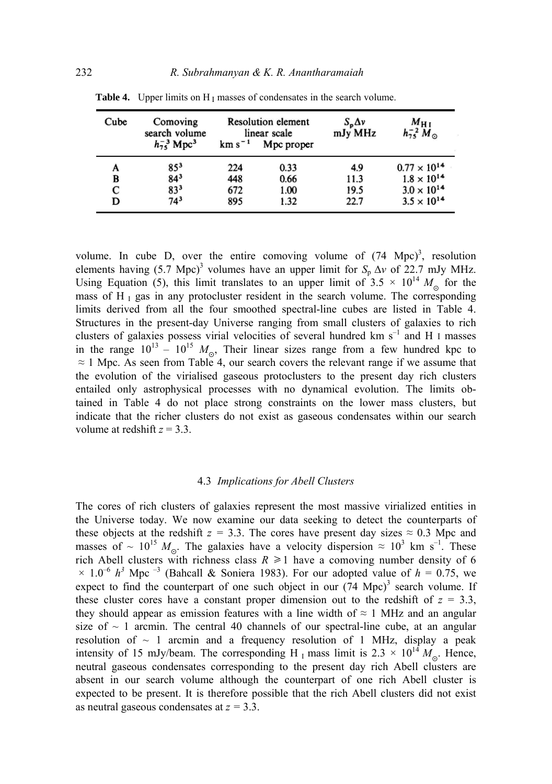| Cube | Comoving<br>search volume<br>$h_{75}^{-3}$ Mpc <sup>3</sup> | $km s-1$ | <b>Resolution element</b><br>linear scale<br>Mpc proper | $S_p \Delta v$<br>mJy MHz | $M_{\rm H~I}$<br>$h_{75}^{-2} M_{\odot}$ |
|------|-------------------------------------------------------------|----------|---------------------------------------------------------|---------------------------|------------------------------------------|
| A    | $85^{3}$                                                    | 224      | 0.33                                                    | 4.9                       | $0.77 \times 10^{14}$                    |
| В    | $84^{3}$                                                    | 448      | 0.66                                                    | 11.3                      | $1.8 \times 10^{14}$                     |
| С    | 833                                                         | 672      | 1.00                                                    | 19.5                      | $3.0 \times 10^{14}$                     |
| D    | $74^3$                                                      | 895      | 1.32                                                    | 22.7                      | $3.5 \times 10^{14}$                     |

**Table 4.** Upper limits on H<sub>I</sub> masses of condensates in the search volume.

volume. In cube D, over the entire comoving volume of  $(74 \text{ Mpc})^3$ , resolution elements having (5.7 Mpc)<sup>3</sup> volumes have an upper limit for  $S_p \Delta v$  of 22.7 mJy MHz. Using Equation (5), this limit translates to an upper limit of  $3.5 \times 10^{14} M_{\odot}$  for the mass of H<sub>I</sub> gas in any protocluster resident in the search volume. The corresponding limits derived from all the four smoothed spectral-line cubes are listed in Table 4. Structures in the present-day Universe ranging from small clusters of galaxies to rich clusters of galaxies possess virial velocities of several hundred km s<sup>-1</sup> and H I masses in the range  $10^{13} - 10^{15} M_{\odot}$ , Their linear sizes range from a few hundred kpc to  $\approx$  1 Mpc. As seen from Table 4, our search covers the relevant range if we assume that the evolution of the virialised gaseous protoclusters to the present day rich clusters entailed only astrophysical processes with no dynamical evolution. The limits obtained in Table 4 do not place strong constraints on the lower mass clusters, but indicate that the richer clusters do not exist as gaseous condensates within our search volume at redshift *z* = 3.3.

## 4.3 *Implications for Abell Clusters*

The cores of rich clusters of galaxies represent the most massive virialized entities in the Universe today. We now examine our data seeking to detect the counterparts of these objects at the redshift  $z = 3.3$ . The cores have present day sizes  $\approx 0.3$  Mpc and masses of ~ 10<sup>15</sup>  $M_{\odot}$ . The galaxies have a velocity dispersion  $\approx 10^3$  km s<sup>-1</sup>. These rich Abell clusters with richness class  $R \ge 1$  have a comoving number density of 6  $\times$  1.0<sup>-6</sup> h<sup>3</sup> Mpc<sup>-3</sup> (Bahcall & Soniera 1983). For our adopted value of h = 0.75, we expect to find the counterpart of one such object in our  $(74 \text{ Mpc})^3$  search volume. If these cluster cores have a constant proper dimension out to the redshift of  $z = 3.3$ , they should appear as emission features with a line width of  $\approx 1$  MHz and an angular size of  $\sim$  1 arcmin. The central 40 channels of our spectral-line cube, at an angular resolution of  $\sim$  1 arcmin and a frequency resolution of 1 MHz, display a peak intensity of 15 mJy/beam. The corresponding H<sub>1</sub> mass limit is  $2.3 \times 10^{14} M_{\odot}$ . Hence, neutral gaseous condensates corresponding to the present day rich Abell clusters are absent in our search volume although the counterpart of one rich Abell cluster is expected to be present. It is therefore possible that the rich Abell clusters did not exist as neutral gaseous condensates at *z =* 3.3.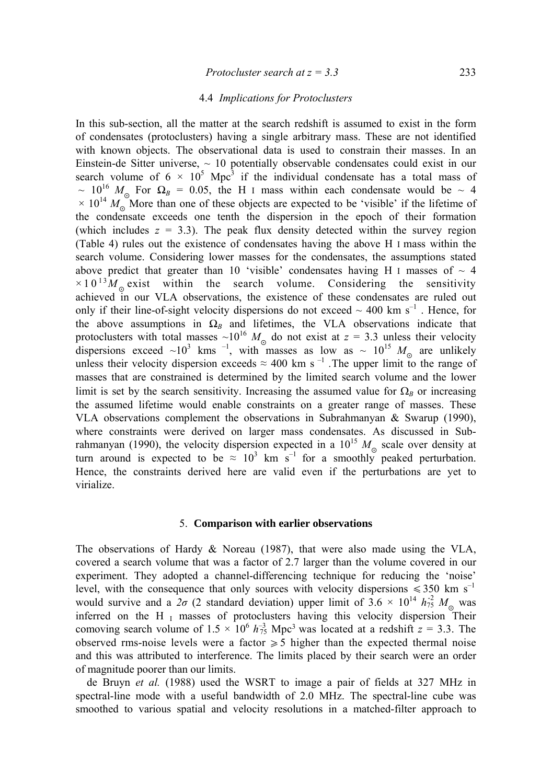# 4.4 *Implications for Protoclusters*

In this sub-section, all the matter at the search redshift is assumed to exist in the form of condensates (protoclusters) having a single arbitrary mass. These are not identified with known objects. The observational data is used to constrain their masses. In an Einstein-de Sitter universe,  $\sim$  10 potentially observable condensates could exist in our search volume of  $6 \times 10^5$  Mpc<sup>3</sup> if the individual condensate has a total mass of  $\sim 10^{16}$   $M_{\odot}$  For  $\Omega_B = 0.05$ , the H I mass within each condensate would be  $\sim 4$  $\times$  10<sup>14</sup>  $M_0$  More than one of these objects are expected to be 'visible' if the lifetime of the condensate exceeds one tenth the dispersion in the epoch of their formation (which includes  $z = 3.3$ ). The peak flux density detected within the survey region (Table 4) rules out the existence of condensates having the above Η I mass within the search volume. Considering lower masses for the condensates, the assumptions stated above predict that greater than 10 'visible' condensates having H I masses of  $\sim$  4  $\times 10^{13} M_{\odot}$  exist within the search volume. Considering the sensitivity achieved in our VLA observations, the existence of these condensates are ruled out only if their line-of-sight velocity dispersions do not exceed  $\sim 400$  km s<sup>-1</sup>. Hence, for the above assumptions in  $\Omega_B$  and lifetimes, the VLA observations indicate that protoclusters with total masses  $\sim 10^{16} M_{\odot}$  do not exist at  $z = 3.3$  unless their velocity dispersions exceed ~10<sup>3</sup> kms<sup>-1</sup>, with masses as low as ~  $10^{15} M_{\odot}$  are unlikely unless their velocity dispersion exceeds  $\approx 400$  km s<sup>-1</sup>. The upper limit to the range of masses that are constrained is determined by the limited search volume and the lower limit is set by the search sensitivity. Increasing the assumed value for  $\Omega_B$  or increasing the assumed lifetime would enable constraints on a greater range of masses. These VLA observations complement the observations in Subrahmanyan & Swarup (1990), where constraints were derived on larger mass condensates. As discussed in Subrahmanyan (1990), the velocity dispersion expected in a  $10^{15}$   $M_{\odot}$  scale over density at turn around is expected to be  $\approx 10^3$  km s<sup>-1</sup> for a smoothly peaked perturbation. Hence, the constraints derived here are valid even if the perturbations are yet to virialize.

#### 5. **Comparison with earlier observations**

The observations of Hardy & Noreau (1987), that were also made using the VLA, covered a search volume that was a factor of 2.7 larger than the volume covered in our experiment. They adopted a channel-differencing technique for reducing the 'noise' level, with the consequence that only sources with velocity dispersions  $\leq 350$  km s<sup>-1</sup> would survive and a  $2\sigma$  (2 standard deviation) upper limit of  $3.6 \times 10^{14} h_{75}^2 M_{\odot}$  was inferred on the H $_I$  masses of protoclusters having this velocity dispersion Their comoving search volume of  $1.5 \times 10^6$   $h_{75}^{-3}$  Mpc<sup>3</sup> was located at a redshift  $z = 3.3$ . The observed rms-noise levels were a factor  $\geq 5$  higher than the expected thermal noise and this was attributed to interference. The limits placed by their search were an order of magnitude poorer than our limits.

de Bruyn *et al.* (1988) used the WSRT to image a pair of fields at 327 MHz in spectral-line mode with a useful bandwidth of 2.0 MHz. The spectral-line cube was smoothed to various spatial and velocity resolutions in a matched-filter approach to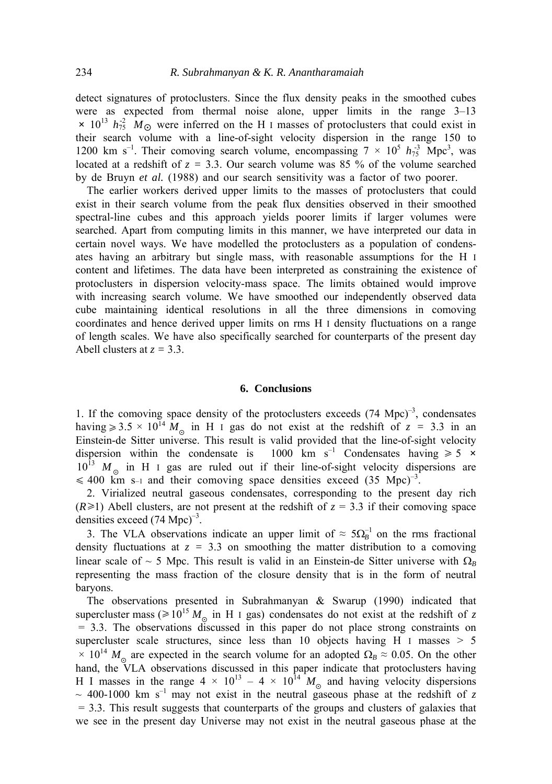detect signatures of protoclusters. Since the flux density peaks in the smoothed cubes were as expected from thermal noise alone, upper limits in the range 3–13  $\times$  10<sup>13</sup>  $h_{75}^2$   $M_{\odot}$  were inferred on the H I masses of protoclusters that could exist in their search volume with a line-of-sight velocity dispersion in the range 150 to 1200 km s<sup>-1</sup>. Their comoving search volume, encompassing  $7 \times 10^5 h_{75}^{3}$  Mpc<sup>3</sup>, was located at a redshift of  $z = 3.3$ . Our search volume was 85 % of the volume searched by de Bruyn *et al.* (1988) and our search sensitivity was a factor of two poorer.

The earlier workers derived upper limits to the masses of protoclusters that could exist in their search volume from the peak flux densities observed in their smoothed spectral-line cubes and this approach yields poorer limits if larger volumes were searched. Apart from computing limits in this manner, we have interpreted our data in certain novel ways. We have modelled the protoclusters as a population of condensates having an arbitrary but single mass, with reasonable assumptions for the H I content and lifetimes. The data have been interpreted as constraining the existence of protoclusters in dispersion velocity-mass space. The limits obtained would improve with increasing search volume. We have smoothed our independently observed data cube maintaining identical resolutions in all the three dimensions in comoving coordinates and hence derived upper limits on rms H I density fluctuations on a range of length scales. We have also specifically searched for counterparts of the present day Abell clusters at  $z = 3.3$ .

#### **6. Conclusions**

1. If the comoving space density of the protoclusters exceeds  $(74 \text{ Mpc})^{-3}$ , condensates having  $\ge 3.5 \times 10^{14} M_{\odot}$  in H I gas do not exist at the redshift of  $z = 3.3$  in an Einstein-de Sitter universe. This result is valid provided that the line-of-sight velocity dispersion within the condensate is 1000 km s<sup>-1</sup> Condensates having  $\geq 5 \times$  $10^{13}$  *M* in H I gas are ruled out if their line-of-sight velocity dispersions are  $\leq 400$  km s-1 and their comoving space densities exceed (35 Mpc)<sup>-3</sup>.

2. Virialized neutral gaseous condensates, corresponding to the present day rich  $(R \ge 1)$  Abell clusters, are not present at the redshift of  $z = 3.3$  if their comoving space densities exceed  $(74 \text{ Mpc})^{-3}$ .

3. The VLA observations indicate an upper limit of  $\approx 5\Omega_B^{-1}$  on the rms fractional density fluctuations at  $z = 3.3$  on smoothing the matter distribution to a comoving linear scale of ~ 5 Mpc. This result is valid in an Einstein-de Sitter universe with  $\Omega_B$ representing the mass fraction of the closure density that is in the form of neutral baryons.

The observations presented in Subrahmanyan & Swarup (1990) indicated that supercluster mass ( $\geq 10^{15} M_{\odot}$  in H I gas) condensates do not exist at the redshift of *z* = 3.3. The observations discussed in this paper do not place strong constraints on supercluster scale structures, since less than 10 objects having H I masses  $> 5$  $\times$  10<sup>14</sup> *M*<sub>o</sub> are expected in the search volume for an adopted  $\Omega_B \approx 0.05$ . On the other hand, the VLA observations discussed in this paper indicate that protoclusters having H I masses in the range  $4 \times 10^{13} - 4 \times 10^{14} M_{\odot}$  and having velocity dispersions  $\sim$  400-1000 km s<sup>-1</sup> may not exist in the neutral gaseous phase at the redshift of z  $= 3.3$ . This result suggests that counterparts of the groups and clusters of galaxies that we see in the present day Universe may not exist in the neutral gaseous phase at the